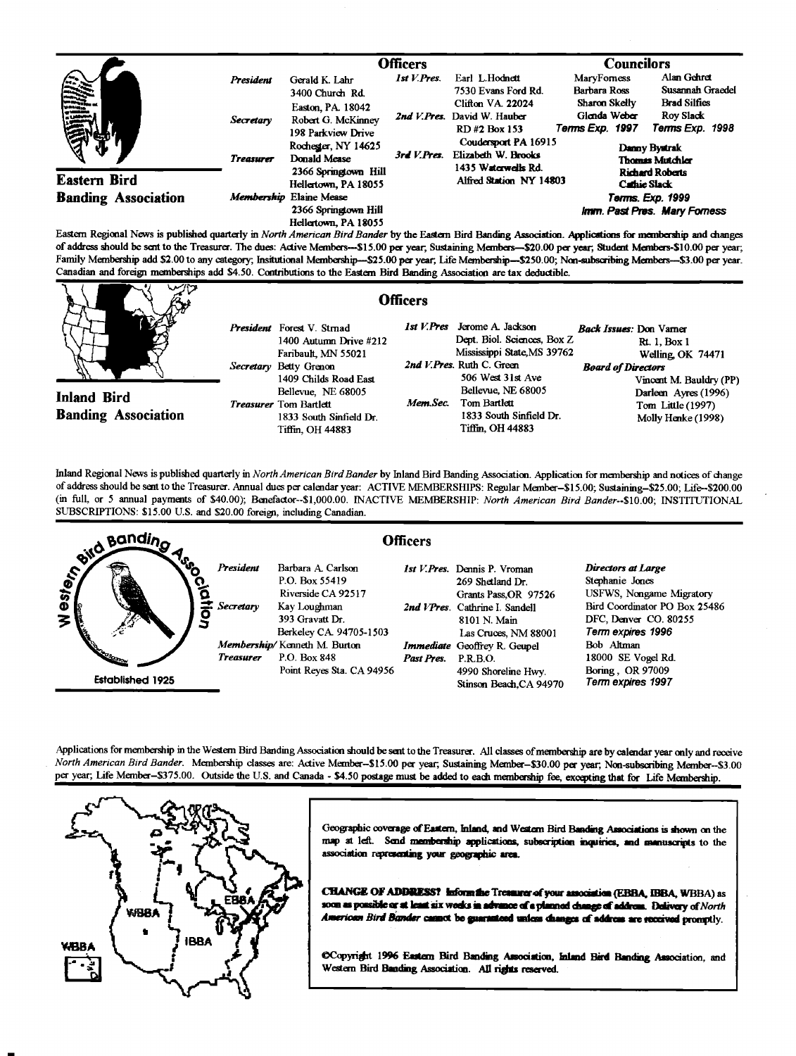|                                                                                                                                                                   |                  | <b>Officers</b>                                               |             |                                                                          | <b>Councilors</b>                                |                                                     |  |
|-------------------------------------------------------------------------------------------------------------------------------------------------------------------|------------------|---------------------------------------------------------------|-------------|--------------------------------------------------------------------------|--------------------------------------------------|-----------------------------------------------------|--|
| <b>SHIRE</b>                                                                                                                                                      | <b>President</b> | Gerald K. Lahr<br>3400 Church Rd.                             |             | Earl L.Hodnett<br>7530 Evans Ford Rd.                                    | MaryForness<br><b>Barbara Ross</b>               | Alan Gehret<br>Susannah Graedel                     |  |
|                                                                                                                                                                   | Secretary        | Easton, PA. 18042<br>Robert G. McKinney<br>198 Parkview Drive |             | <b>Clifton VA. 22024</b><br>2nd V. Pres. David W. Hauber<br>RD#2 Box 153 | Sharon Skelly<br>Glenda Weber<br>Terms Exp. 1997 | <b>Brad Silfies</b><br>Rov Slack<br>Terms Exp. 1998 |  |
|                                                                                                                                                                   | <b>Treasurer</b> | Rochester, NY 14625<br>Donald Mease                           | 3rd V.Pres. | Coudersport PA 16915<br>Elizabeth W. Brooks<br>1435 Waterwells Rd.       | Danny Bystrak<br><b>Thomas Mutchler</b>          |                                                     |  |
| <b>Eastern Bird</b>                                                                                                                                               |                  | 2366 Springtown Hill<br>Hellertown, PA 18055                  |             | Alfred Station NY 14803                                                  |                                                  | <b>Richard Roberts</b><br>Cathie Slack              |  |
| <b>Banding Association</b><br>$\mathbf{E}$ and $\mathbf{E}$ and $\mathbf{E}$ and $\mathbf{E}$ and $\mathbf{E}$ and $\mathbf{E}$ and $\mathbf{E}$ and $\mathbf{E}$ |                  | Membership Elaine Mease                                       |             |                                                                          | Terms. Exp. 1999                                 |                                                     |  |
|                                                                                                                                                                   |                  | 2366 Springtown Hill<br>Hellertown, PA 18055                  |             |                                                                          | Imm. Past Pres. Mary Forness                     |                                                     |  |

**Eastern Regional News is published quarterly in North American Bird Bander by the •aem Bird Banding Association. P•!ications for membership and changes**  of address should be sent to the Treasurer. The dues: Active Members---\$15.00 per year, Sustaining Members--\$20.00 per year, Student Members-\$10.00 per year; Family Membership add \$2.00 to any category; Insitutional Membership--\$25.00 per year, Life Membership-\$250.00; Non-subscribing Members--\$3.00 per year. **Canadian and foreign memberships add \$4.50. Contributions to the Eastern Bird Banding Association are tax deducible.** 

| 1st V.Pres<br>Jerome A. Jackson<br>President Forest V. Straad<br>Dept. Biol. Sciences, Box Z<br>1400 Autumn Drive #212<br>Mississippi State, MS 39762<br>Faribault, MN 55021<br>2nd V.Pres. Ruth C. Green<br>Secretary Betty Grenon<br>506 West 31st Ave<br>1409 Childs Road East<br>Bellevue, NE 68005<br>Bellevue, NE 68005<br><b>Inland Bird</b><br>Mem.Sec.<br>Tom Bartlett<br><b>Treasurer</b> Tom Bartlett<br><b>Banding Association</b><br>1833 South Sinfield Dr.<br>1833 South Sinfield Dr.<br>Tiffin, OH 44883<br>Tiffin, OH 44883 | <b>Back Issues: Don Vamer</b><br><b>Rt. 1, Box 1</b><br>Welling OK 74471<br><b>Board of Directors</b><br>Vincent M. Bauldry (PP)<br>Darleen Ayres (1996)<br>Tom Little (1997)<br>Molly Henke (1998) |
|----------------------------------------------------------------------------------------------------------------------------------------------------------------------------------------------------------------------------------------------------------------------------------------------------------------------------------------------------------------------------------------------------------------------------------------------------------------------------------------------------------------------------------------------|-----------------------------------------------------------------------------------------------------------------------------------------------------------------------------------------------------|

Inland Regional News is published quarterly in North American Bird Bander by Inland Bird Banding Association. Application for membership and notices of change of address should be sent to the Treasurer. Annual dues per calendar year: ACTIVE MEMBERSHIPS: Regular Member-\$15.00; Sustaining-\$25.00; Life--\$200.00 **(in full, or 5 annual payments of \$40.00); Benefactor--S1,000.00. INACTIVE MEMBERSHIP: North American Bird Bander--S10.00; INSTITUTIONAL SUBSCRIPTIONS: \$15.00 U.S. and \$20.00 foreign, including Canadian.** 



Applications for membership in the Western Bird Banding Association should be sent to the Treasurer. All classes of membership are by calendar year only and receive North American Bird Bander. Membership classes are: Active Member-\$15.00 per year; Sustaining Member-\$30.00 per year; Non-subscribing Member-\$3.00 per year; Life Member-\$375.00. Outside the U.S. and Canada - \$4.50 postage must be added to each membership fee, excepting that for Life Membership.



Geographic coverage of Eastern, Inland, and Western Bird Banding Associations is shown on the map at left. Send membership applications, subscription inquiries, and memuscripts to the association representing your geographic area.

**CHANGE OF ADDRESS?** inform the Treaturer of your ansociation (EBBA, IBBA, WBBA) as<br>soon as possible or at least six works in advance of a planned change of address. Delivery of North American Bird Bander caunct be guaranteed unless damges of address are received promptly.

CCopyright 1996 Eastern Bird Banding Association, Inland Bird Banding Association, and Western Bird Banding Association. All rights reserved.